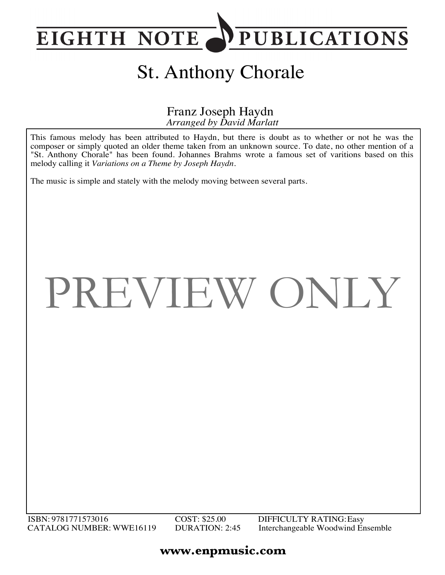#### PUBLICATIONS EIGHTH NOTE

### St. Anthony Chorale

*Arranged by David Marlatt* Franz Joseph Haydn

This famous melody has been attributed to Haydn, but there is doubt as to whether or not he was the composer or simply quoted an older theme taken from an unknown source. To date, no other mention of a "St. Anthony Chorale" has been found. Johannes Brahms wrote a famous set of varitions based on this melody calling it *Variations on a Theme by Joseph Haydn*.

The music is simple and stately with the melody moving between several parts.

## PREVIEW ONLY

#### **www.enpmusic.com**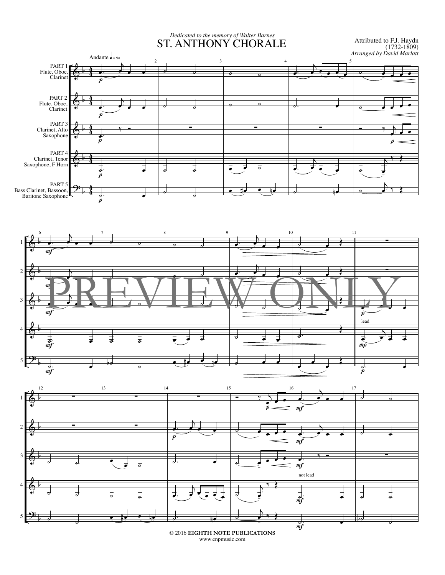





© 2016 **EIGHTH NOTE PUBLICATIONS** www.enpmusic.com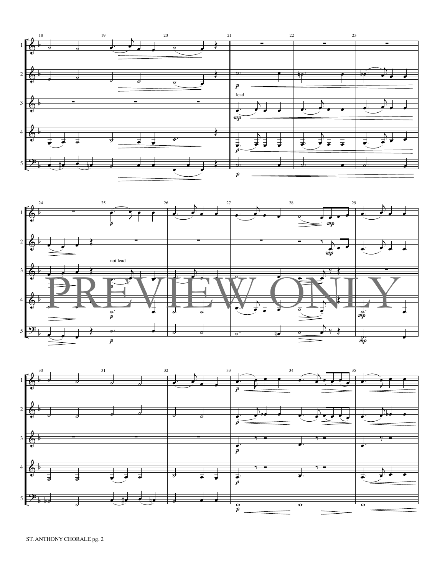![](_page_2_Figure_0.jpeg)

![](_page_2_Figure_1.jpeg)

![](_page_2_Figure_2.jpeg)

ST. ANTHONY CHORALE pg. 2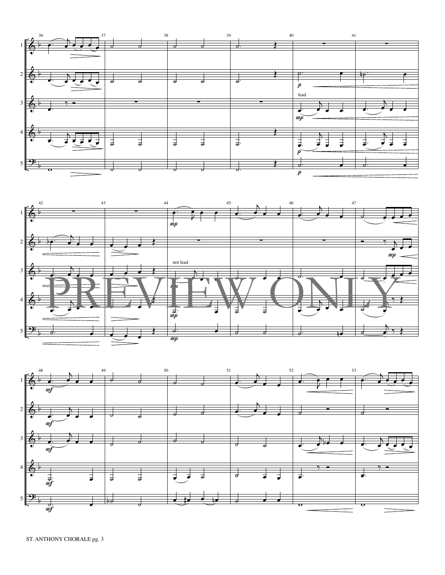![](_page_3_Figure_0.jpeg)

![](_page_3_Figure_1.jpeg)

![](_page_3_Figure_2.jpeg)